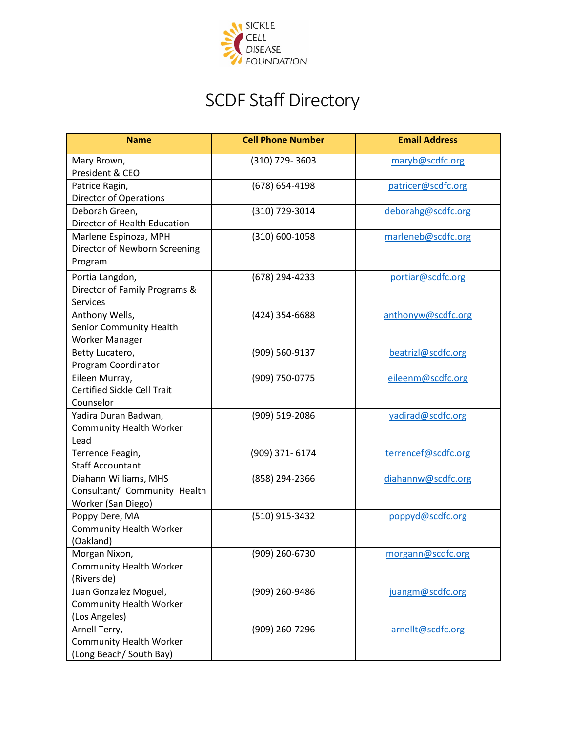

## SCDF Staff Directory

| <b>Name</b>                                                                 | <b>Cell Phone Number</b> | <b>Email Address</b> |
|-----------------------------------------------------------------------------|--------------------------|----------------------|
| Mary Brown,<br>President & CEO                                              | (310) 729-3603           | maryb@scdfc.org      |
| Patrice Ragin,<br><b>Director of Operations</b>                             | (678) 654-4198           | patricer@scdfc.org   |
| Deborah Green,<br>Director of Health Education                              | (310) 729-3014           | deborahg@scdfc.org   |
| Marlene Espinoza, MPH<br>Director of Newborn Screening<br>Program           | (310) 600-1058           | marleneb@scdfc.org   |
| Portia Langdon,<br>Director of Family Programs &<br><b>Services</b>         | (678) 294-4233           | portiar@scdfc.org    |
| Anthony Wells,<br>Senior Community Health<br>Worker Manager                 | (424) 354-6688           | anthonyw@scdfc.org   |
| Betty Lucatero,<br>Program Coordinator                                      | (909) 560-9137           | beatrizl@scdfc.org   |
| Eileen Murray,<br><b>Certified Sickle Cell Trait</b><br>Counselor           | (909) 750-0775           | eileenm@scdfc.org    |
| Yadira Duran Badwan,<br><b>Community Health Worker</b><br>Lead              | (909) 519-2086           | yadirad@scdfc.org    |
| Terrence Feagin,<br><b>Staff Accountant</b>                                 | (909) 371-6174           | terrencef@scdfc.org  |
| Diahann Williams, MHS<br>Consultant/ Community Health<br>Worker (San Diego) | (858) 294-2366           | diahannw@scdfc.org   |
| Poppy Dere, MA<br><b>Community Health Worker</b><br>(Oakland)               | (510) 915-3432           | poppyd@scdfc.org     |
| Morgan Nixon,<br><b>Community Health Worker</b><br>(Riverside)              | (909) 260-6730           | morgann@scdfc.org    |
| Juan Gonzalez Moguel,<br><b>Community Health Worker</b><br>(Los Angeles)    | (909) 260-9486           | juangm@scdfc.org     |
| Arnell Terry,<br><b>Community Health Worker</b><br>(Long Beach/ South Bay)  | (909) 260-7296           | arnellt@scdfc.org    |